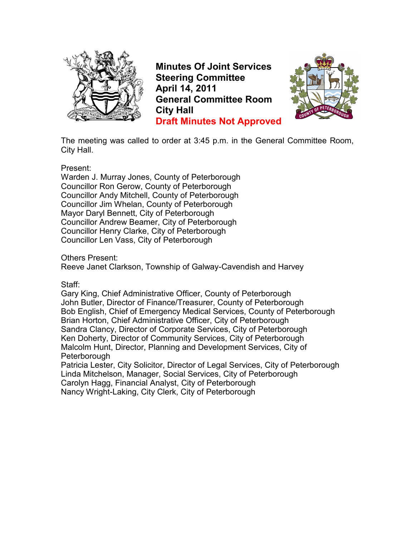

**Minutes Of Joint Services Steering Committee April 14, 2011 General Committee Room City Hall Draft Minutes Not Approved**



The meeting was called to order at 3:45 p.m. in the General Committee Room, City Hall.

Present:

Warden J. Murray Jones, County of Peterborough Councillor Ron Gerow, County of Peterborough Councillor Andy Mitchell, County of Peterborough Councillor Jim Whelan, County of Peterborough Mayor Daryl Bennett, City of Peterborough Councillor Andrew Beamer, City of Peterborough Councillor Henry Clarke, City of Peterborough Councillor Len Vass, City of Peterborough

Others Present:

Reeve Janet Clarkson, Township of Galway-Cavendish and Harvey

Staff:

Gary King, Chief Administrative Officer, County of Peterborough John Butler, Director of Finance/Treasurer, County of Peterborough Bob English, Chief of Emergency Medical Services, County of Peterborough Brian Horton, Chief Administrative Officer, City of Peterborough Sandra Clancy, Director of Corporate Services, City of Peterborough Ken Doherty, Director of Community Services, City of Peterborough Malcolm Hunt, Director, Planning and Development Services, City of Peterborough

Patricia Lester, City Solicitor, Director of Legal Services, City of Peterborough Linda Mitchelson, Manager, Social Services, City of Peterborough Carolyn Hagg, Financial Analyst, City of Peterborough Nancy Wright-Laking, City Clerk, City of Peterborough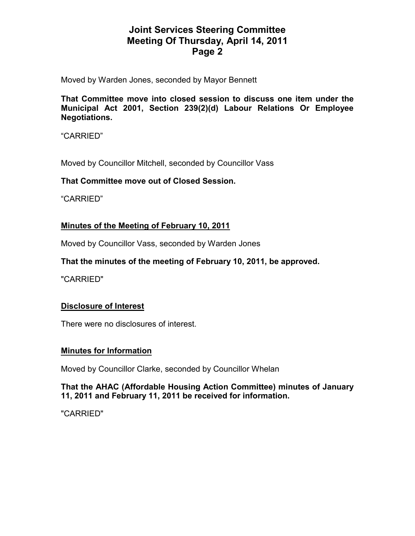Moved by Warden Jones, seconded by Mayor Bennett

**That Committee move into closed session to discuss one item under the Municipal Act 2001, Section 239(2)(d) Labour Relations Or Employee Negotiations.** 

"CARRIED"

Moved by Councillor Mitchell, seconded by Councillor Vass

#### **That Committee move out of Closed Session.**

"CARRIED"

### **Minutes of the Meeting of February 10, 2011**

Moved by Councillor Vass, seconded by Warden Jones

#### **That the minutes of the meeting of February 10, 2011, be approved.**

"CARRIED"

#### **Disclosure of Interest**

There were no disclosures of interest.

#### **Minutes for Information**

Moved by Councillor Clarke, seconded by Councillor Whelan

#### **That the AHAC (Affordable Housing Action Committee) minutes of January 11, 2011 and February 11, 2011 be received for information.**

"CARRIED"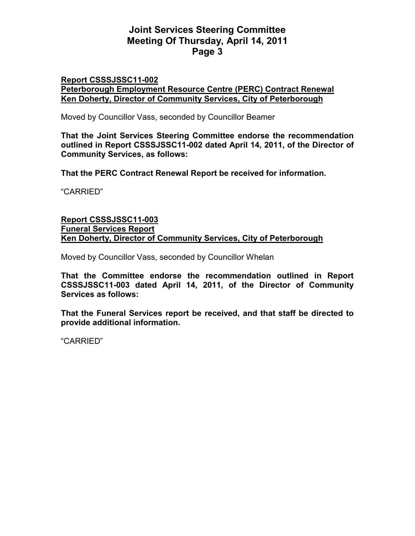#### **Report CSSSJSSC11-002 Peterborough Employment Resource Centre (PERC) Contract Renewal Ken Doherty, Director of Community Services, City of Peterborough**

Moved by Councillor Vass, seconded by Councillor Beamer

**That the Joint Services Steering Committee endorse the recommendation outlined in Report CSSSJSSC11-002 dated April 14, 2011, of the Director of Community Services, as follows:** 

**That the PERC Contract Renewal Report be received for information.** 

"CARRIED"

#### **Report CSSSJSSC11-003 Funeral Services Report Ken Doherty, Director of Community Services, City of Peterborough**

Moved by Councillor Vass, seconded by Councillor Whelan

**That the Committee endorse the recommendation outlined in Report CSSSJSSC11-003 dated April 14, 2011, of the Director of Community Services as follows:** 

**That the Funeral Services report be received, and that staff be directed to provide additional information.** 

"CARRIED"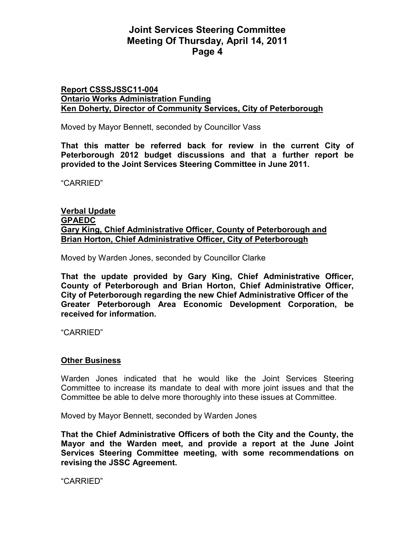#### **Report CSSSJSSC11-004 Ontario Works Administration Funding Ken Doherty, Director of Community Services, City of Peterborough**

Moved by Mayor Bennett, seconded by Councillor Vass

**That this matter be referred back for review in the current City of Peterborough 2012 budget discussions and that a further report be provided to the Joint Services Steering Committee in June 2011.** 

"CARRIED"

**Verbal Update GPAEDC Gary King, Chief Administrative Officer, County of Peterborough and Brian Horton, Chief Administrative Officer, City of Peterborough**

Moved by Warden Jones, seconded by Councillor Clarke

**That the update provided by Gary King, Chief Administrative Officer, County of Peterborough and Brian Horton, Chief Administrative Officer, City of Peterborough regarding the new Chief Administrative Officer of the Greater Peterborough Area Economic Development Corporation, be received for information.** 

"CARRIED"

#### **Other Business**

Warden Jones indicated that he would like the Joint Services Steering Committee to increase its mandate to deal with more joint issues and that the Committee be able to delve more thoroughly into these issues at Committee.

Moved by Mayor Bennett, seconded by Warden Jones

**That the Chief Administrative Officers of both the City and the County, the Mayor and the Warden meet, and provide a report at the June Joint Services Steering Committee meeting, with some recommendations on revising the JSSC Agreement.** 

"CARRIED"